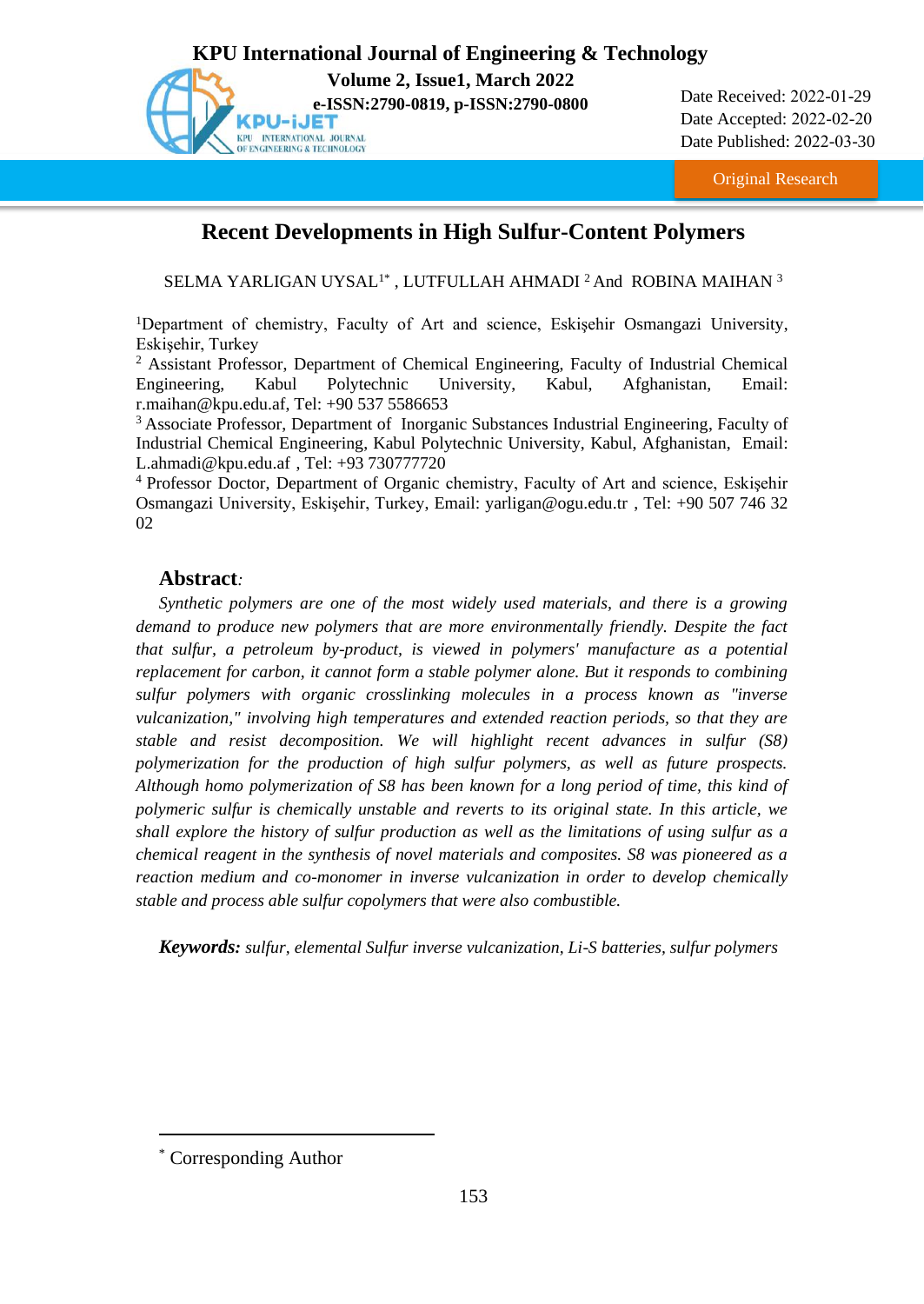

Date Received: 2022-01-29 Date Accepted: 2022-02-20 Date Published: 2022-03-30

Original Research

# **Recent Developments in High Sulfur-Content Polymers**

SELMA YARLIGAN UYSAL $^{1\ast}$  , LUTFULLAH AHMADI  $^2$  And ROBINA MAIHAN  $^3$ 

<sup>1</sup>Department of chemistry, Faculty of Art and science, Eskişehir Osmangazi University, Eskişehir, Turkey

<sup>2</sup> Assistant Professor, Department of Chemical Engineering, Faculty of Industrial Chemical Engineering, Kabul Polytechnic University, Kabul, Afghanistan, Email: [r.maihan@kpu.edu.af,](mailto:r.maihan@kpu.edu.af) [Tel: +90](tel:+90) 537 5586653

<sup>3</sup> Associate Professor, Department of Inorganic Substances Industrial Engineering, Faculty of Industrial Chemical Engineering, Kabul Polytechnic University, Kabul, Afghanistan, Email: L.ahmadi@kpu.edu.af , [Tel: +93](tel:+90) 730777720

<sup>4</sup> Professor Doctor, Department of Organic chemistry, Faculty of Art and science, Eskişehir Osmangazi University, Eskişehir, Turkey, Email: [yarligan@ogu.edu.tr](mailto:yarligan@ogu.edu.tr) [, Tel: +90](tel:+90) 507 746 32 02

# **Abstract***:*

*Synthetic polymers are one of the most widely used materials, and there is a growing demand to produce new polymers that are more environmentally friendly. Despite the fact that sulfur, a petroleum by-product, is viewed in polymers' manufacture as a potential replacement for carbon, it cannot form a stable polymer alone. But it responds to combining sulfur polymers with organic crosslinking molecules in a process known as "inverse vulcanization," involving high temperatures and extended reaction periods, so that they are stable and resist decomposition. We will highlight recent advances in sulfur (S8) polymerization for the production of high sulfur polymers, as well as future prospects. Although homo polymerization of S8 has been known for a long period of time, this kind of polymeric sulfur is chemically unstable and reverts to its original state. In this article, we shall explore the history of sulfur production as well as the limitations of using sulfur as a chemical reagent in the synthesis of novel materials and composites. S8 was pioneered as a reaction medium and co-monomer in inverse vulcanization in order to develop chemically stable and process able sulfur copolymers that were also combustible.*

*Keywords: sulfur, elemental Sulfur inverse vulcanization, Li-S batteries, sulfur polymers*

<sup>\*</sup> Corresponding Author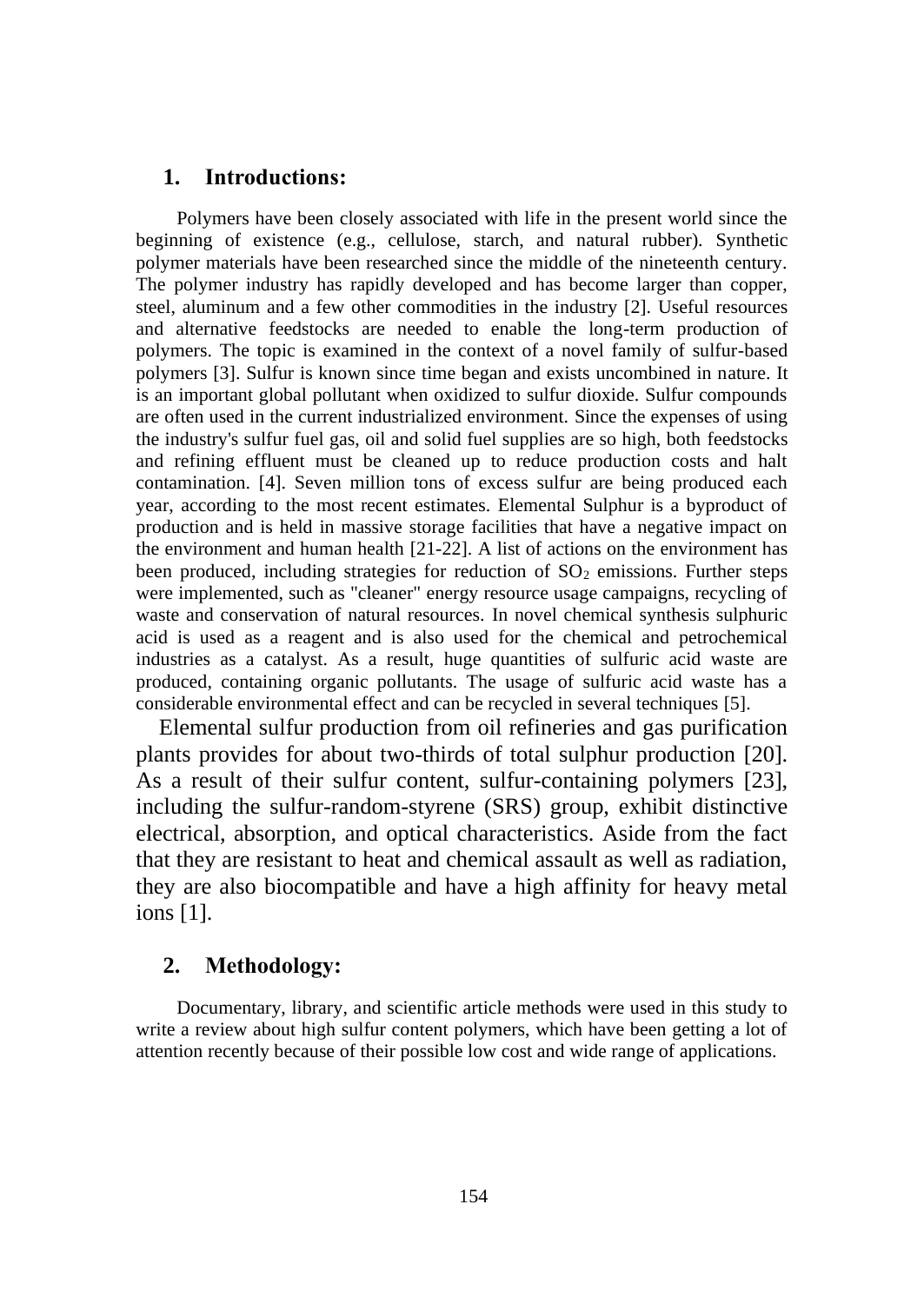## **1. Introductions:**

Polymers have been closely associated with life in the present world since the beginning of existence (e.g., cellulose, starch, and natural rubber). Synthetic polymer materials have been researched since the middle of the nineteenth century. The polymer industry has rapidly developed and has become larger than copper, steel, aluminum and a few other commodities in the industry [2]. Useful resources and alternative feedstocks are needed to enable the long-term production of polymers. The topic is examined in the context of a novel family of sulfur-based polymers [3]. Sulfur is known since time began and exists uncombined in nature. It is an important global pollutant when oxidized to sulfur dioxide. Sulfur compounds are often used in the current industrialized environment. Since the expenses of using the industry's sulfur fuel gas, oil and solid fuel supplies are so high, both feedstocks and refining effluent must be cleaned up to reduce production costs and halt contamination. [4]. Seven million tons of excess sulfur are being produced each year, according to the most recent estimates. Elemental Sulphur is a byproduct of production and is held in massive storage facilities that have a negative impact on the environment and human health [21-22]. A list of actions on the environment has been produced, including strategies for reduction of  $SO<sub>2</sub>$  emissions. Further steps were implemented, such as "cleaner" energy resource usage campaigns, recycling of waste and conservation of natural resources. In novel chemical synthesis sulphuric acid is used as a reagent and is also used for the chemical and petrochemical industries as a catalyst. As a result, huge quantities of sulfuric acid waste are produced, containing organic pollutants. The usage of sulfuric acid waste has a considerable environmental effect and can be recycled in several techniques [5].

Elemental sulfur production from oil refineries and gas purification plants provides for about two-thirds of total sulphur production [20]. As a result of their sulfur content, sulfur-containing polymers [23], including the sulfur-random-styrene (SRS) group, exhibit distinctive electrical, absorption, and optical characteristics. Aside from the fact that they are resistant to heat and chemical assault as well as radiation, they are also biocompatible and have a high affinity for heavy metal ions [1].

## **2. Methodology:**

Documentary, library, and scientific article methods were used in this study to write a review about high sulfur content polymers, which have been getting a lot of attention recently because of their possible low cost and wide range of applications.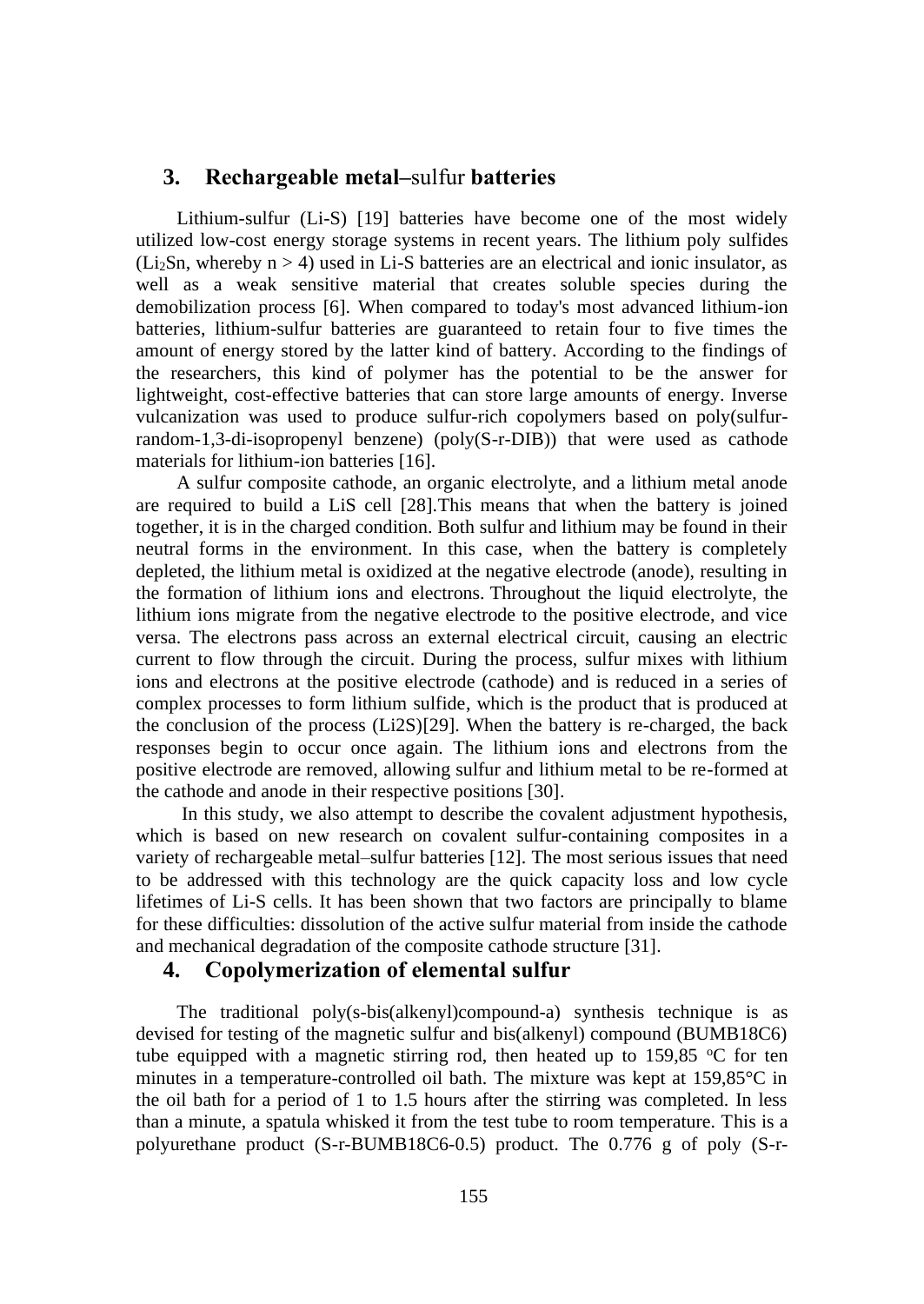## **3. Rechargeable metal–**sulfur **batteries**

Lithium-sulfur (Li-S) [19] batteries have become one of the most widely utilized low-cost energy storage systems in recent years. The lithium poly sulfides (Li<sub>2</sub>Sn, whereby  $n > 4$ ) used in Li-S batteries are an electrical and ionic insulator, as well as a weak sensitive material that creates soluble species during the demobilization process [6]. When compared to today's most advanced lithium-ion batteries, lithium-sulfur batteries are guaranteed to retain four to five times the amount of energy stored by the latter kind of battery. According to the findings of the researchers, this kind of polymer has the potential to be the answer for lightweight, cost-effective batteries that can store large amounts of energy. Inverse vulcanization was used to produce sulfur-rich copolymers based on poly(sulfurrandom-1,3-di-isopropenyl benzene) (poly(S-r-DIB)) that were used as cathode materials for lithium-ion batteries [16].

A sulfur composite cathode, an organic electrolyte, and a lithium metal anode are required to build a LiS cell [28].This means that when the battery is joined together, it is in the charged condition. Both sulfur and lithium may be found in their neutral forms in the environment. In this case, when the battery is completely depleted, the lithium metal is oxidized at the negative electrode (anode), resulting in the formation of lithium ions and electrons. Throughout the liquid electrolyte, the lithium ions migrate from the negative electrode to the positive electrode, and vice versa. The electrons pass across an external electrical circuit, causing an electric current to flow through the circuit. During the process, sulfur mixes with lithium ions and electrons at the positive electrode (cathode) and is reduced in a series of complex processes to form lithium sulfide, which is the product that is produced at the conclusion of the process (Li2S)[29]. When the battery is re-charged, the back responses begin to occur once again. The lithium ions and electrons from the positive electrode are removed, allowing sulfur and lithium metal to be re-formed at the cathode and anode in their respective positions [30].

In this study, we also attempt to describe the covalent adjustment hypothesis, which is based on new research on covalent sulfur-containing composites in a variety of rechargeable metal–sulfur batteries [12]. The most serious issues that need to be addressed with this technology are the quick capacity loss and low cycle lifetimes of Li-S cells. It has been shown that two factors are principally to blame for these difficulties: dissolution of the active sulfur material from inside the cathode and mechanical degradation of the composite cathode structure [31].

#### **4. Copolymerization of elemental sulfur**

The traditional poly(s-bis(alkenyl)compound-a) synthesis technique is as devised for testing of the magnetic sulfur and bis(alkenyl) compound (BUMB18C6) tube equipped with a magnetic stirring rod, then heated up to  $159.85$  °C for ten minutes in a temperature-controlled oil bath. The mixture was kept at 159,85°C in the oil bath for a period of 1 to 1.5 hours after the stirring was completed. In less than a minute, a spatula whisked it from the test tube to room temperature. This is a polyurethane product (S-r-BUMB18C6-0.5) product. The 0.776 g of poly (S-r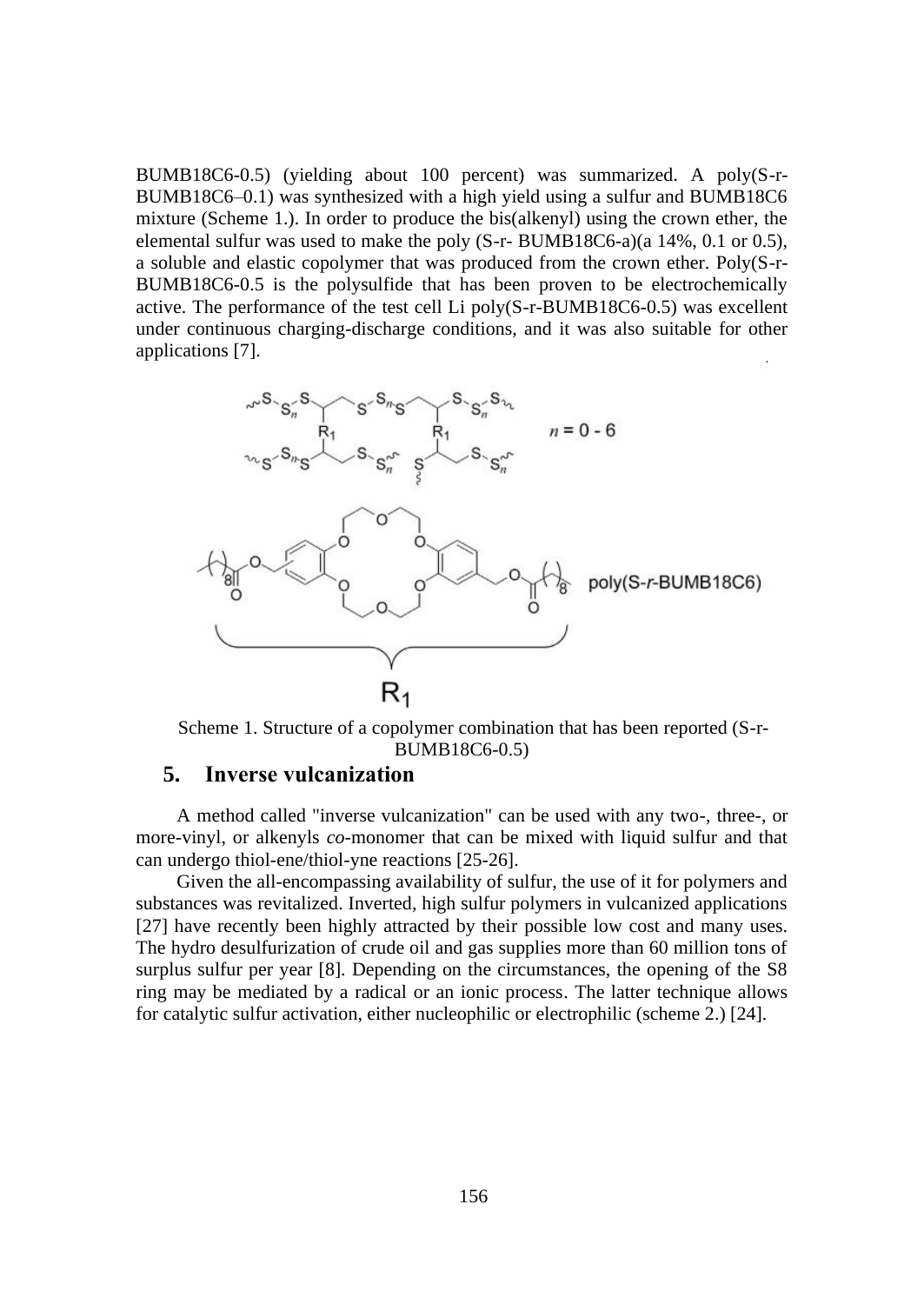BUMB18C6-0.5) (yielding about 100 percent) was summarized. A poly(S-r-BUMB18C6–0.1) was synthesized with a high yield using a sulfur and BUMB18C6 mixture (Scheme 1.). In order to produce the bis(alkenyl) using the crown ether, the elemental sulfur was used to make the poly (S-r- BUMB18C6-a)(a 14%, 0.1 or 0.5), a soluble and elastic copolymer that was produced from the crown ether. Poly(S-r-BUMB18C6-0.5 is the polysulfide that has been proven to be electrochemically active. The performance of the test cell Li poly(S-r-BUMB18C6-0.5) was excellent under continuous charging-discharge conditions, and it was also suitable for other applications [7].



Scheme 1. Structure of a copolymer combination that has been reported (S-r-BUMB18C6-0.5)

# **5. Inverse vulcanization**

A method called "inverse vulcanization" can be used with any two-, three-, or more-vinyl, or alkenyls *co*-monomer that can be mixed with liquid sulfur and that can undergo thiol-ene/thiol-yne reactions [25-26].

Given the all-encompassing availability of sulfur, the use of it for polymers and substances was revitalized. Inverted, high sulfur polymers in vulcanized applications [27] have recently been highly attracted by their possible low cost and many uses. The hydro desulfurization of crude oil and gas supplies more than 60 million tons of surplus sulfur per year [8]. Depending on the circumstances, the opening of the S8 ring may be mediated by a radical or an ionic process. The latter technique allows for catalytic sulfur activation, either nucleophilic or electrophilic (scheme 2.) [24].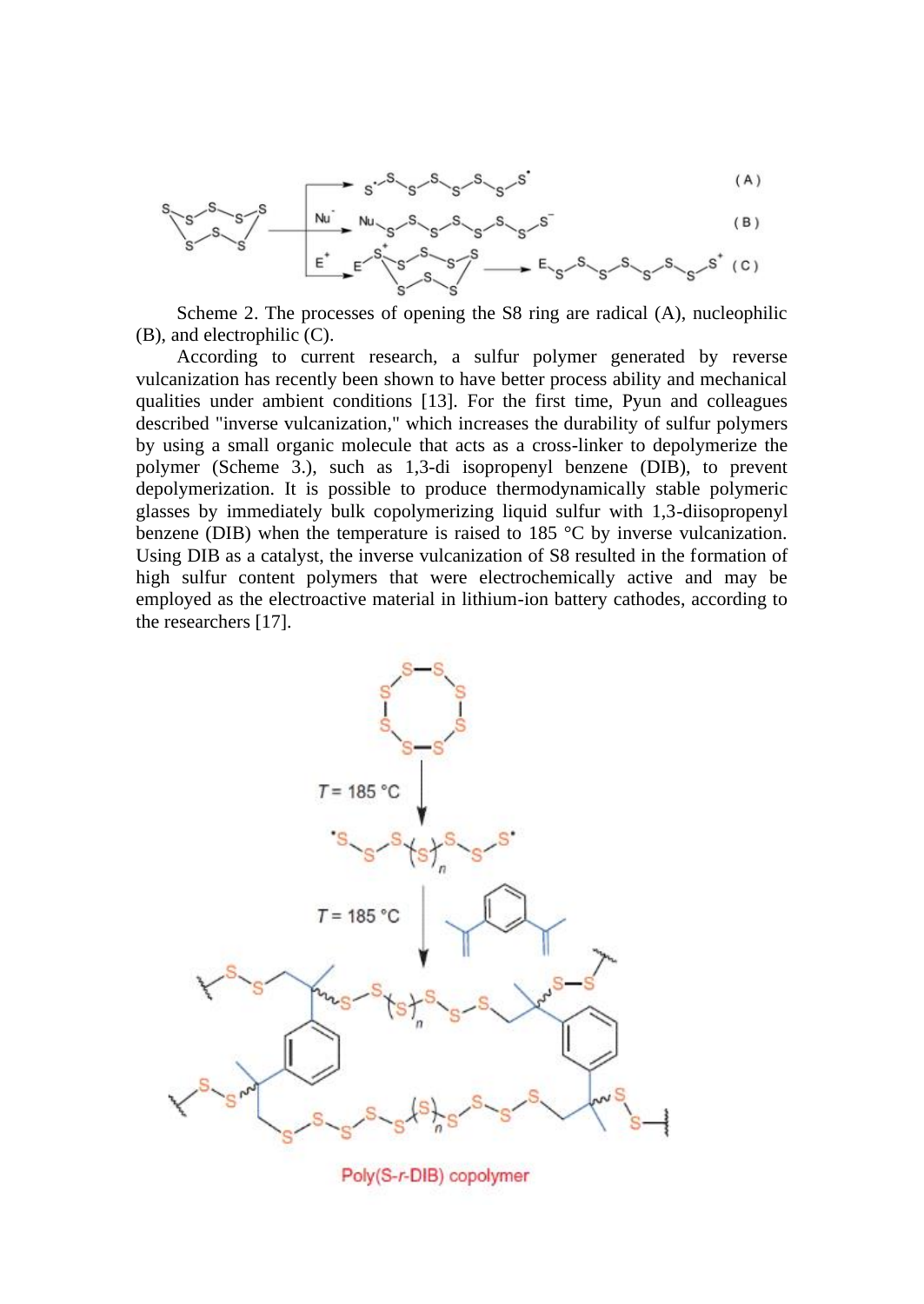$$
s^{-.S}{}^{S}{}^{S}{}^{S}{}^{S}{}^{S}{}^{S}
$$

Scheme 2. The processes of opening the S8 ring are radical (A), nucleophilic (B), and electrophilic (C).

According to current research, a sulfur polymer generated by reverse vulcanization has recently been shown to have better process ability and mechanical qualities under ambient conditions [13]. For the first time, Pyun and colleagues described "inverse vulcanization," which increases the durability of sulfur polymers by using a small organic molecule that acts as a cross-linker to depolymerize the polymer (Scheme 3.), such as 1,3-di isopropenyl benzene (DIB), to prevent depolymerization. It is possible to produce thermodynamically stable polymeric glasses by immediately bulk copolymerizing liquid sulfur with 1,3-diisopropenyl benzene (DIB) when the temperature is raised to 185 °C by inverse vulcanization. Using DIB as a catalyst, the inverse vulcanization of S8 resulted in the formation of high sulfur content polymers that were electrochemically active and may be employed as the electroactive material in lithium-ion battery cathodes, according to the researchers [17].



Poly(S-r-DIB) copolymer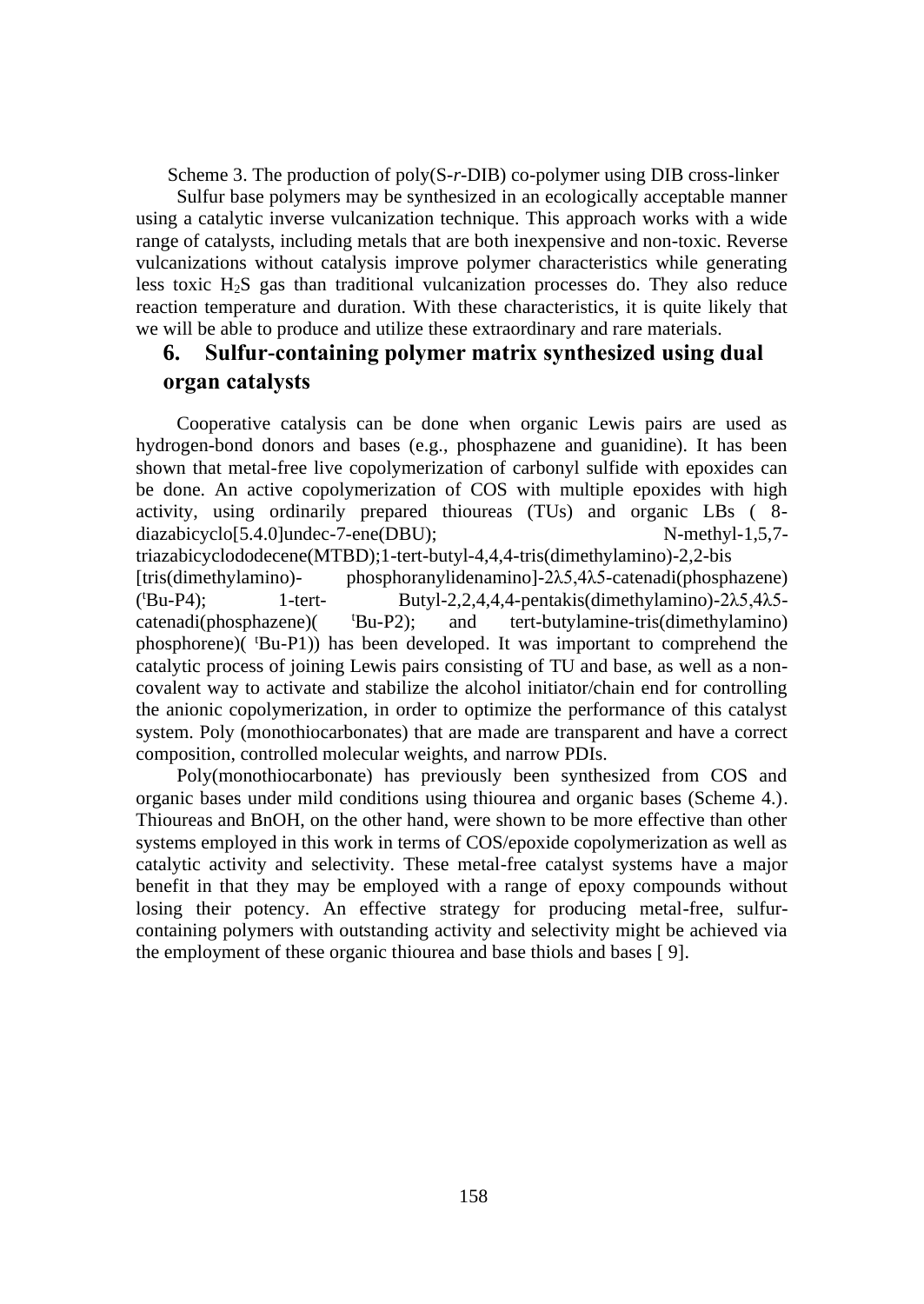Scheme 3. The production of poly(S*-r-*DIB) co-polymer using DIB cross-linker

Sulfur base polymers may be synthesized in an ecologically acceptable manner using a catalytic inverse vulcanization technique. This approach works with a wide range of catalysts, including metals that are both inexpensive and non-toxic. Reverse vulcanizations without catalysis improve polymer characteristics while generating less toxic H2S gas than traditional vulcanization processes do. They also reduce reaction temperature and duration. With these characteristics, it is quite likely that we will be able to produce and utilize these extraordinary and rare materials.

# **6. Sulfur-containing polymer matrix synthesized using dual organ catalysts**

Cooperative catalysis can be done when organic Lewis pairs are used as hydrogen-bond donors and bases (e.g., phosphazene and guanidine). It has been shown that metal-free live copolymerization of carbonyl sulfide with epoxides can be done. An active copolymerization of COS with multiple epoxides with high activity, using ordinarily prepared thioureas (TUs) and organic LBs ( 8 diazabicyclo[5.4.0]undec-7-ene(DBU); N-methyl-1,5,7 triazabicyclododecene(MTBD);1-tert-butyl-4,4,4-tris(dimethylamino)-2,2-bis [tris(dimethylamino)- phosphoranylidenamino]-2λ5,4λ5-catenadi(phosphazene)  $(^tBu-P4)$ :  $1$ -tert- Butyl-2,2,4,4,4-pentakis(dimethylamino)-2λ5.4λ5catenadi(phosphazene)( <sup>t</sup>Bu-P2); and tert-butylamine-tris(dimethylamino) phosphorene)( <sup>t</sup>Bu-P1)) has been developed. It was important to comprehend the catalytic process of joining Lewis pairs consisting of TU and base, as well as a noncovalent way to activate and stabilize the alcohol initiator/chain end for controlling the anionic copolymerization, in order to optimize the performance of this catalyst system. Poly (monothiocarbonates) that are made are transparent and have a correct composition, controlled molecular weights, and narrow PDIs.

Poly(monothiocarbonate) has previously been synthesized from COS and organic bases under mild conditions using thiourea and organic bases (Scheme 4.). Thioureas and BnOH, on the other hand, were shown to be more effective than other systems employed in this work in terms of COS/epoxide copolymerization as well as catalytic activity and selectivity. These metal-free catalyst systems have a major benefit in that they may be employed with a range of epoxy compounds without losing their potency. An effective strategy for producing metal-free, sulfurcontaining polymers with outstanding activity and selectivity might be achieved via the employment of these organic thiourea and base thiols and bases [ 9].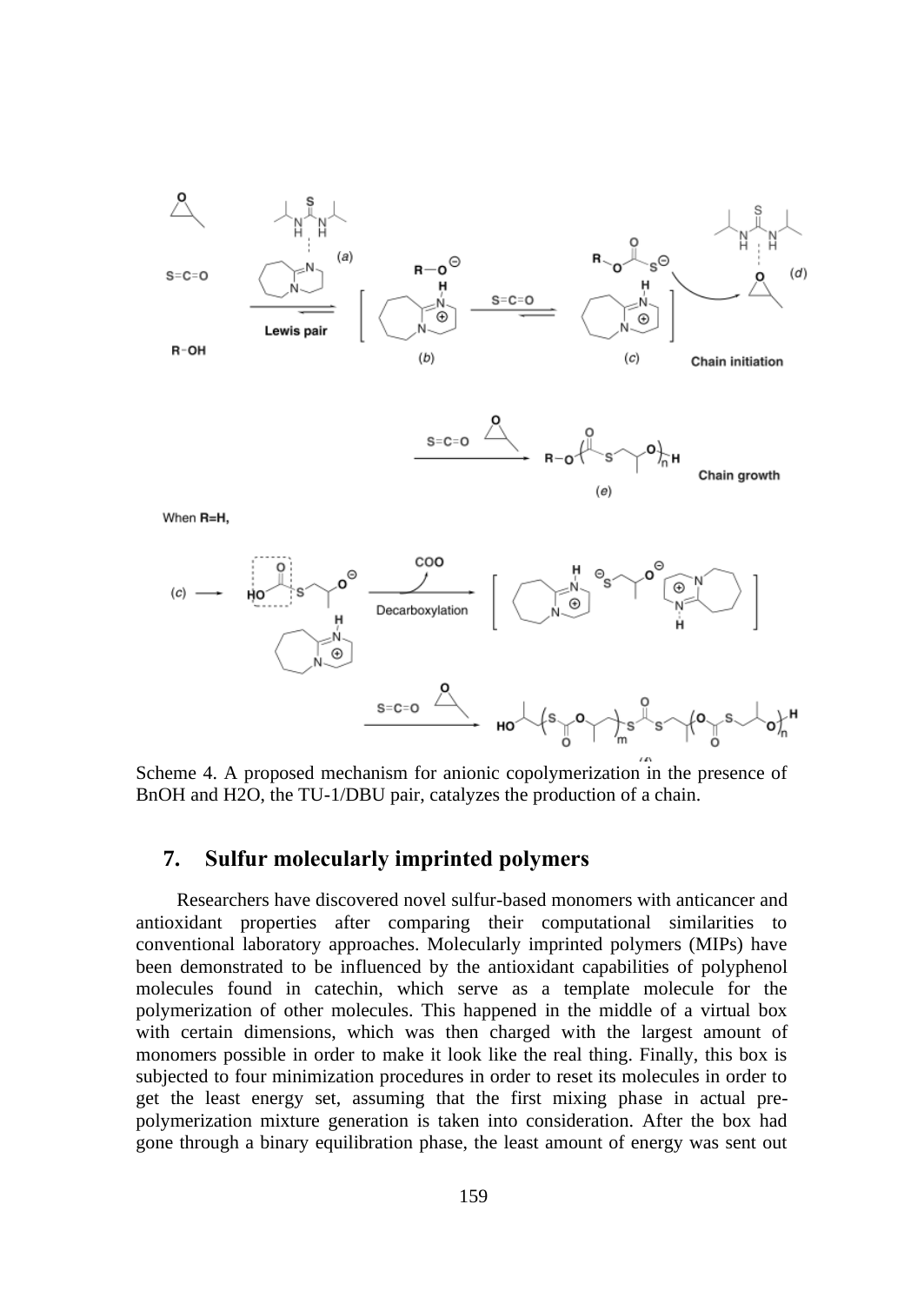

Scheme 4. A proposed mechanism for anionic copolymerization in the presence of BnOH and H2O, the TU-1/DBU pair, catalyzes the production of a chain.

# **7. Sulfur molecularly imprinted polymers**

Researchers have discovered novel sulfur-based monomers with anticancer and antioxidant properties after comparing their computational similarities to conventional laboratory approaches. Molecularly imprinted polymers (MIPs) have been demonstrated to be influenced by the antioxidant capabilities of polyphenol molecules found in catechin, which serve as a template molecule for the polymerization of other molecules. This happened in the middle of a virtual box with certain dimensions, which was then charged with the largest amount of monomers possible in order to make it look like the real thing. Finally, this box is subjected to four minimization procedures in order to reset its molecules in order to get the least energy set, assuming that the first mixing phase in actual prepolymerization mixture generation is taken into consideration. After the box had gone through a binary equilibration phase, the least amount of energy was sent out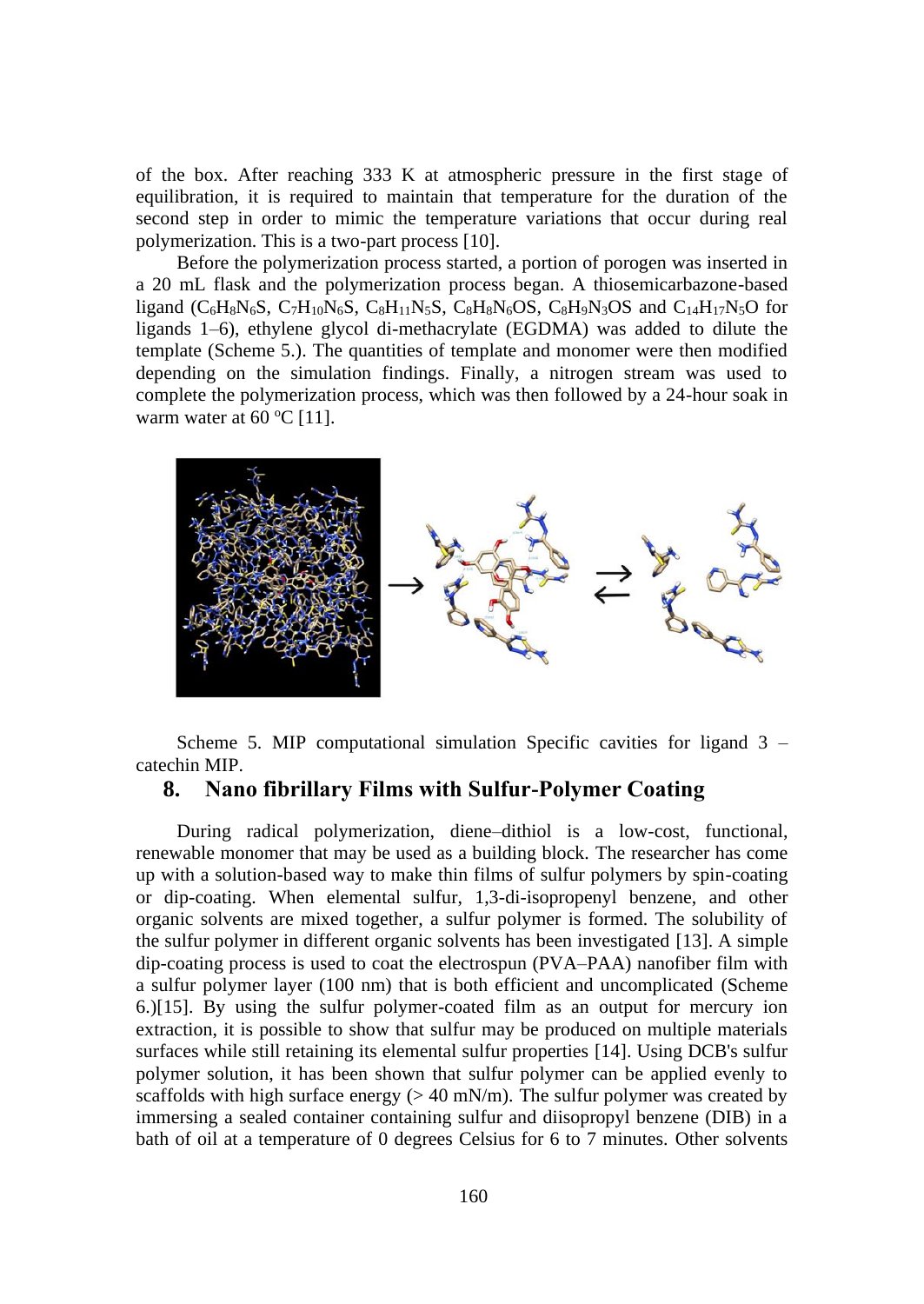of the box. After reaching 333 K at atmospheric pressure in the first stage of equilibration, it is required to maintain that temperature for the duration of the second step in order to mimic the temperature variations that occur during real polymerization. This is a two-part process [10].

Before the polymerization process started, a portion of porogen was inserted in a 20 mL flask and the polymerization process began. A thiosemicarbazone-based ligand ( $C_6H_8N_6S$ ,  $C_7H_{10}N_6S$ ,  $C_8H_{11}N_5S$ ,  $C_8H_8N_6OS$ ,  $C_8H_9N_3OS$  and  $C_{14}H_{17}N_5O$  for ligands 1–6), ethylene glycol di-methacrylate (EGDMA) was added to dilute the template (Scheme 5.). The quantities of template and monomer were then modified depending on the simulation findings. Finally, a nitrogen stream was used to complete the polymerization process, which was then followed by a 24-hour soak in warm water at  $60^{\circ}$ C [11].



Scheme 5. MIP computational simulation Specific cavities for ligand 3 – catechin MIP.

### **8. Nano fibrillary Films with Sulfur-Polymer Coating**

During radical polymerization, diene–dithiol is a low-cost, functional, renewable monomer that may be used as a building block. The researcher has come up with a solution-based way to make thin films of sulfur polymers by spin-coating or dip-coating. When elemental sulfur, 1,3-di-isopropenyl benzene, and other organic solvents are mixed together, a sulfur polymer is formed. The solubility of the sulfur polymer in different organic solvents has been investigated [13]. A simple dip-coating process is used to coat the electrospun (PVA–PAA) nanofiber film with a sulfur polymer layer (100 nm) that is both efficient and uncomplicated (Scheme 6.)[15]. By using the sulfur polymer-coated film as an output for mercury ion extraction, it is possible to show that sulfur may be produced on multiple materials surfaces while still retaining its elemental sulfur properties [14]. Using DCB's sulfur polymer solution, it has been shown that sulfur polymer can be applied evenly to scaffolds with high surface energy ( $> 40$  mN/m). The sulfur polymer was created by immersing a sealed container containing sulfur and diisopropyl benzene (DIB) in a bath of oil at a temperature of 0 degrees Celsius for 6 to 7 minutes. Other solvents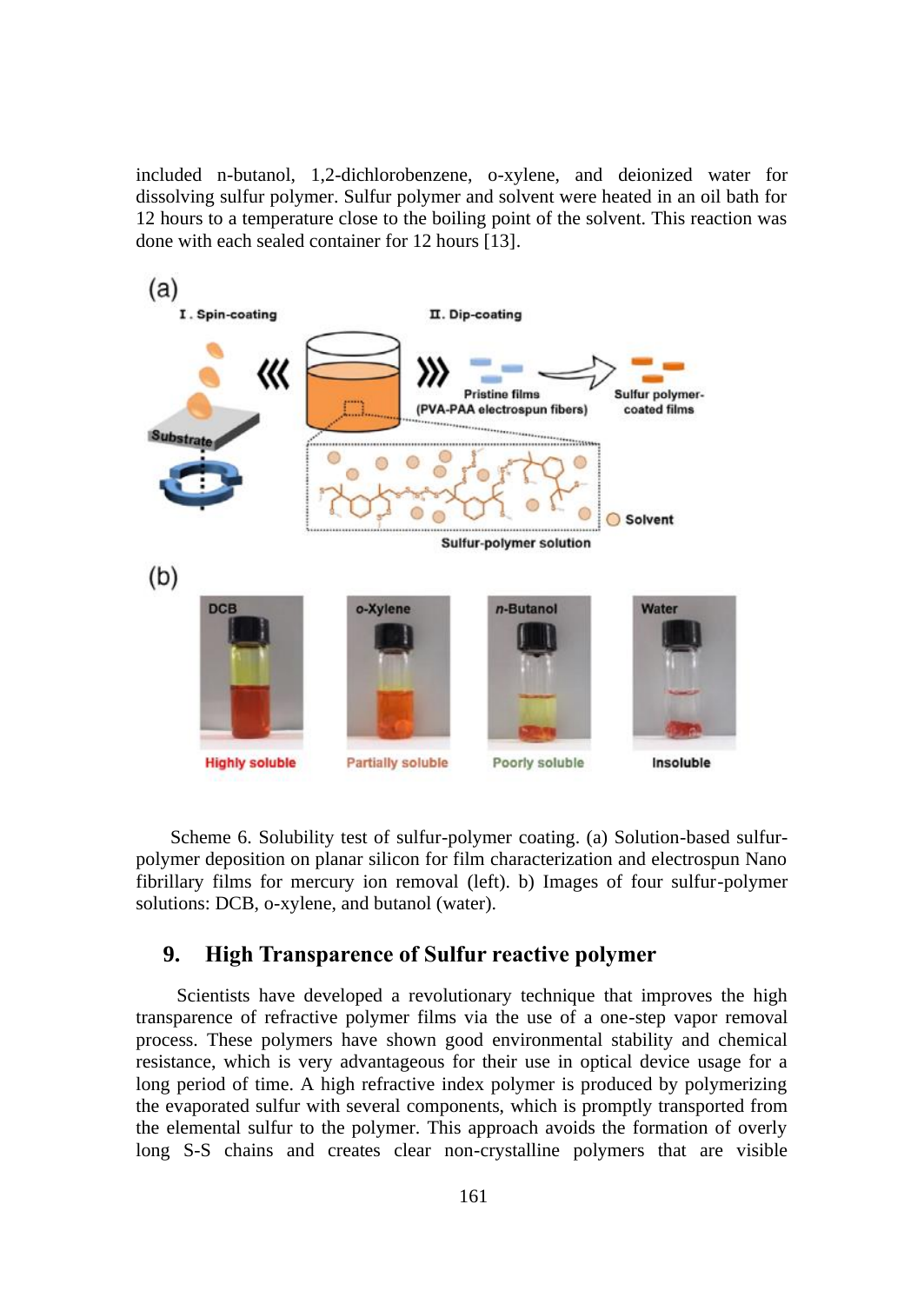included n-butanol, 1,2-dichlorobenzene, o-xylene, and deionized water for dissolving sulfur polymer. Sulfur polymer and solvent were heated in an oil bath for 12 hours to a temperature close to the boiling point of the solvent. This reaction was done with each sealed container for 12 hours [13].



Scheme 6. Solubility test of sulfur-polymer coating. (a) Solution-based sulfurpolymer deposition on planar silicon for film characterization and electrospun Nano fibrillary films for mercury ion removal (left). b) Images of four sulfur-polymer solutions: DCB, o-xylene, and butanol (water).

## **9. High Transparence of Sulfur reactive polymer**

Scientists have developed a revolutionary technique that improves the high transparence of refractive polymer films via the use of a one-step vapor removal process. These polymers have shown good environmental stability and chemical resistance, which is very advantageous for their use in optical device usage for a long period of time. A high refractive index polymer is produced by polymerizing the evaporated sulfur with several components, which is promptly transported from the elemental sulfur to the polymer. This approach avoids the formation of overly long S-S chains and creates clear non-crystalline polymers that are visible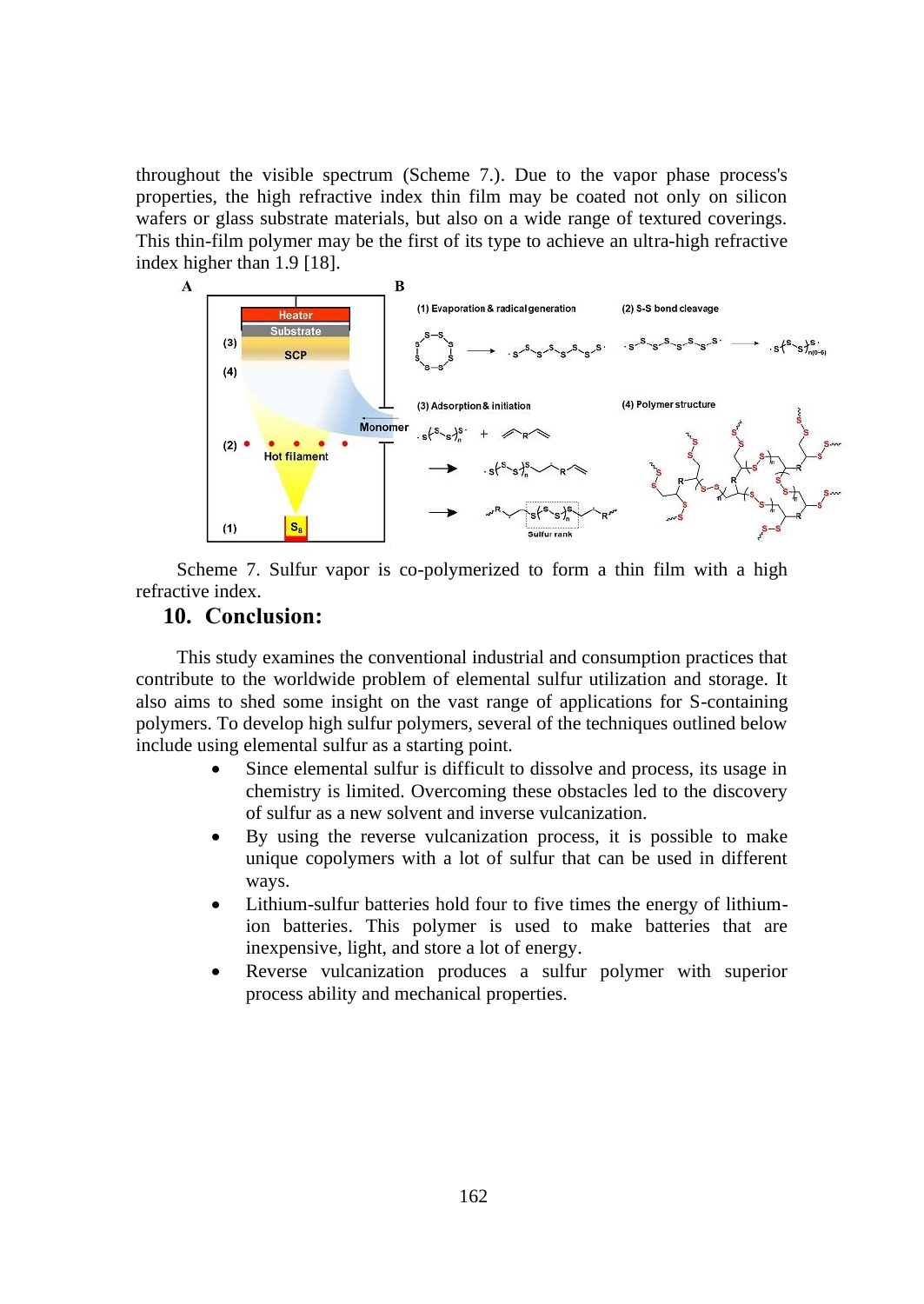throughout the visible spectrum (Scheme 7.). Due to the vapor phase process's properties, the high refractive index thin film may be coated not only on silicon wafers or glass substrate materials, but also on a wide range of textured coverings. This thin-film polymer may be the first of its type to achieve an ultra-high refractive index higher than 1.9 [18].



Scheme 7. Sulfur vapor is co-polymerized to form a thin film with a high refractive index.

# **10. Conclusion:**

This study examines the conventional industrial and consumption practices that contribute to the worldwide problem of elemental sulfur utilization and storage. It also aims to shed some insight on the vast range of applications for S-containing polymers. To develop high sulfur polymers, several of the techniques outlined below include using elemental sulfur as a starting point.

- Since elemental sulfur is difficult to dissolve and process, its usage in chemistry is limited. Overcoming these obstacles led to the discovery of sulfur as a new solvent and inverse vulcanization.
- By using the reverse vulcanization process, it is possible to make unique copolymers with a lot of sulfur that can be used in different ways.
- Lithium-sulfur batteries hold four to five times the energy of lithiumion batteries. This polymer is used to make batteries that are inexpensive, light, and store a lot of energy.
- Reverse vulcanization produces a sulfur polymer with superior process ability and mechanical properties.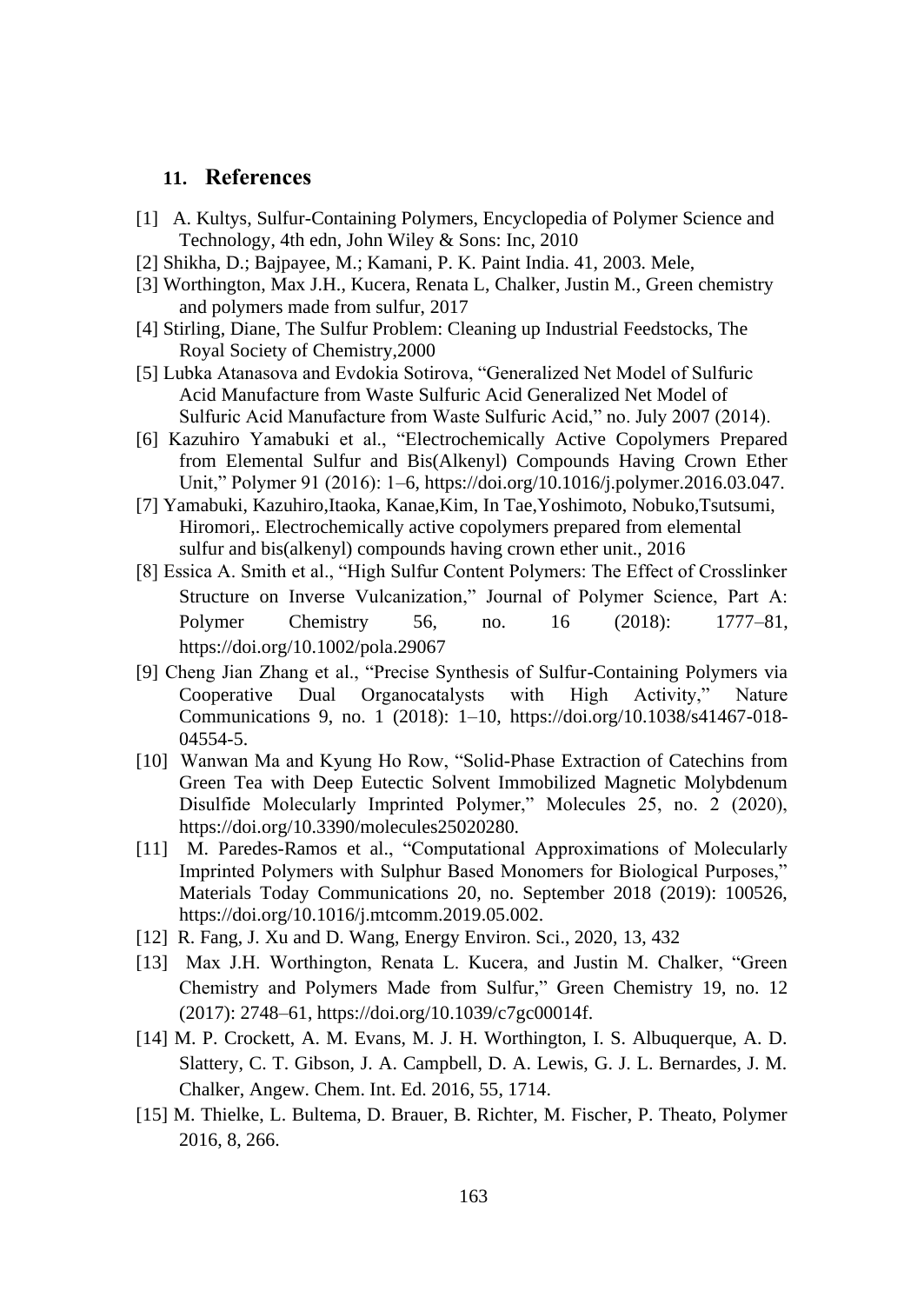## **11. References**

- [1] A. Kultys, Sulfur-Containing Polymers, Encyclopedia of Polymer Science and Technology, 4th edn, John Wiley & Sons: Inc, 2010
- [2] Shikha, D.; Bajpayee, M.; Kamani, P. K. Paint India. 41, 2003. Mele,
- [3] Worthington, Max J.H., Kucera, Renata L, Chalker, Justin M., Green chemistry and polymers made from sulfur, 2017
- [4] Stirling, Diane, The Sulfur Problem: Cleaning up Industrial Feedstocks, The Royal Society of Chemistry,2000
- [5] Lubka Atanasova and Evdokia Sotirova, "Generalized Net Model of Sulfuric Acid Manufacture from Waste Sulfuric Acid Generalized Net Model of Sulfuric Acid Manufacture from Waste Sulfuric Acid," no. July 2007 (2014).
- [6] Kazuhiro Yamabuki et al., "Electrochemically Active Copolymers Prepared from Elemental Sulfur and Bis(Alkenyl) Compounds Having Crown Ether Unit," Polymer 91 (2016): 1–6, https://doi.org/10.1016/j.polymer.2016.03.047.
- [7] Yamabuki, Kazuhiro,Itaoka, Kanae,Kim, In Tae,Yoshimoto, Nobuko,Tsutsumi, Hiromori,. Electrochemically active copolymers prepared from elemental sulfur and bis(alkenyl) compounds having crown ether unit., 2016
- [8] Essica A. Smith et al., "High Sulfur Content Polymers: The Effect of Crosslinker Structure on Inverse Vulcanization," Journal of Polymer Science, Part A: Polymer Chemistry 56, no. 16 (2018): 1777–81, https://doi.org/10.1002/pola.29067
- [9] Cheng Jian Zhang et al., "Precise Synthesis of Sulfur-Containing Polymers via Cooperative Dual Organocatalysts with High Activity," Nature Communications 9, no. 1 (2018): 1–10, https://doi.org/10.1038/s41467-018- 04554-5.
- [10] Wanwan Ma and Kyung Ho Row, "Solid-Phase Extraction of Catechins from Green Tea with Deep Eutectic Solvent Immobilized Magnetic Molybdenum Disulfide Molecularly Imprinted Polymer," Molecules 25, no. 2 (2020), https://doi.org/10.3390/molecules25020280.
- [11] M. Paredes-Ramos et al., "Computational Approximations of Molecularly Imprinted Polymers with Sulphur Based Monomers for Biological Purposes," Materials Today Communications 20, no. September 2018 (2019): 100526, https://doi.org/10.1016/j.mtcomm.2019.05.002.
- [12] R. Fang, J. Xu and D. Wang, Energy Environ. Sci., 2020, 13, 432
- [13] Max J.H. Worthington, Renata L. Kucera, and Justin M. Chalker, "Green Chemistry and Polymers Made from Sulfur," Green Chemistry 19, no. 12 (2017): 2748–61, https://doi.org/10.1039/c7gc00014f.
- [14] M. P. Crockett, A. M. Evans, M. J. H. Worthington, I. S. Albuquerque, A. D. Slattery, C. T. Gibson, J. A. Campbell, D. A. Lewis, G. J. L. Bernardes, J. M. Chalker, Angew. Chem. Int. Ed. 2016, 55, 1714.
- [15] M. Thielke, L. Bultema, D. Brauer, B. Richter, M. Fischer, P. Theato, Polymer 2016, 8, 266.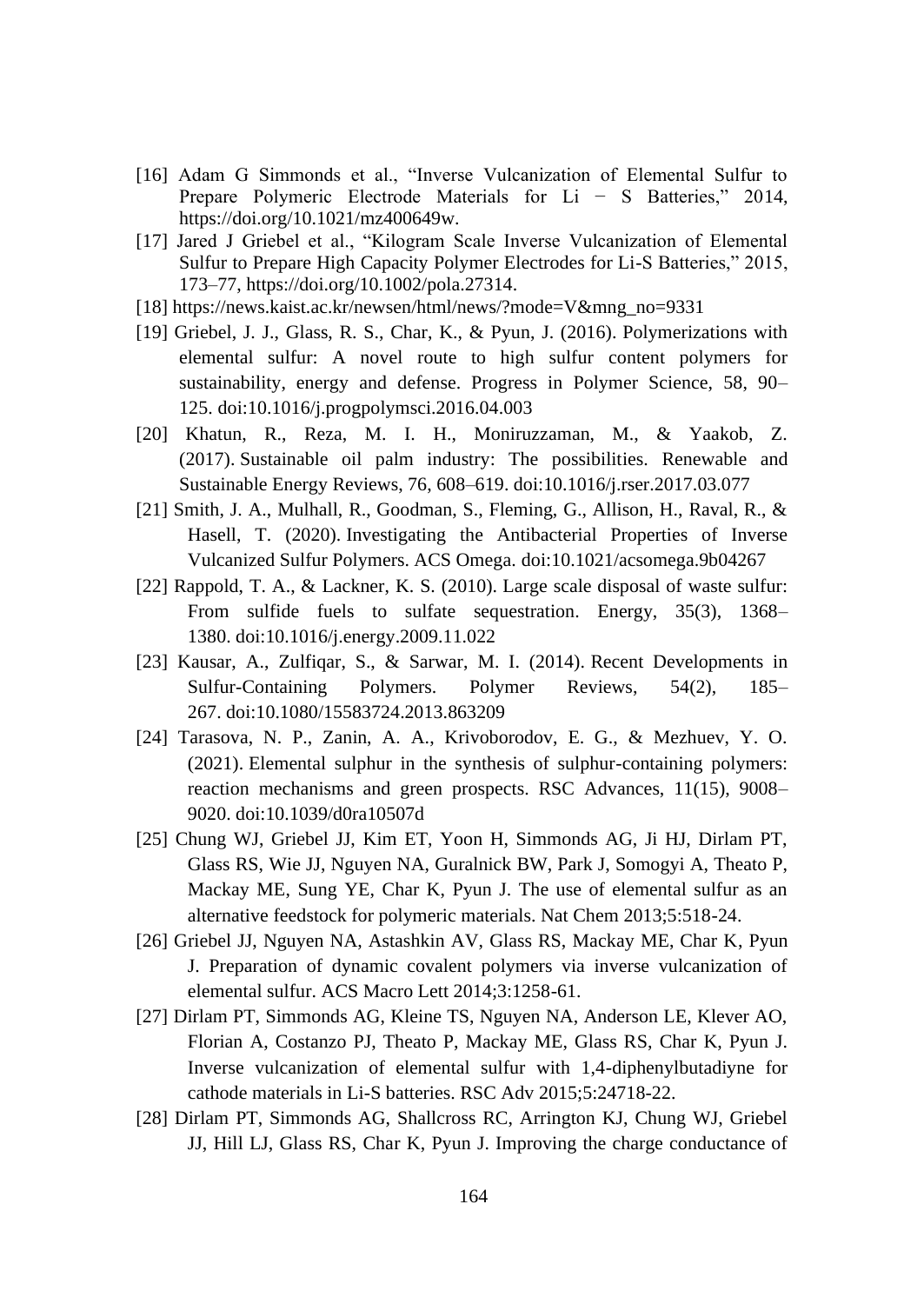- [16] Adam G Simmonds et al., "Inverse Vulcanization of Elemental Sulfur to Prepare Polymeric Electrode Materials for Li − S Batteries," 2014, https://doi.org/10.1021/mz400649w.
- [17] Jared J Griebel et al., "Kilogram Scale Inverse Vulcanization of Elemental Sulfur to Prepare High Capacity Polymer Electrodes for Li-S Batteries," 2015, 173–77, https://doi.org/10.1002/pola.27314.
- [18] https://news.kaist.ac.kr/newsen/html/news/?mode=V&mng\_no=9331
- [19] Griebel, J. J., Glass, R. S., Char, K., & Pyun, J. (2016). Polymerizations with elemental sulfur: A novel route to high sulfur content polymers for sustainability, energy and defense. Progress in Polymer Science, 58, 90– 125. doi:10.1016/j.progpolymsci.2016.04.003
- [20] Khatun, R., Reza, M. I. H., Moniruzzaman, M., & Yaakob, Z. (2017). Sustainable oil palm industry: The possibilities. Renewable and Sustainable Energy Reviews, 76, 608–619. doi:10.1016/j.rser.2017.03.077
- [21] Smith, J. A., Mulhall, R., Goodman, S., Fleming, G., Allison, H., Raval, R., & Hasell, T. (2020). Investigating the Antibacterial Properties of Inverse Vulcanized Sulfur Polymers. ACS Omega. doi:10.1021/acsomega.9b04267
- [22] Rappold, T. A., & Lackner, K. S. (2010). Large scale disposal of waste sulfur: From sulfide fuels to sulfate sequestration. Energy, 35(3), 1368– 1380. doi:10.1016/j.energy.2009.11.022
- [23] Kausar, A., Zulfigar, S., & Sarwar, M. I. (2014). Recent Developments in Sulfur-Containing Polymers. Polymer Reviews, 54(2), 185– 267. doi:10.1080/15583724.2013.863209
- [24] Tarasova, N. P., Zanin, A. A., Krivoborodov, E. G., & Mezhuev, Y. O. (2021). Elemental sulphur in the synthesis of sulphur-containing polymers: reaction mechanisms and green prospects. RSC Advances, 11(15), 9008– 9020. doi:10.1039/d0ra10507d
- [25] Chung WJ, Griebel JJ, Kim ET, Yoon H, Simmonds AG, Ji HJ, Dirlam PT, Glass RS, Wie JJ, Nguyen NA, Guralnick BW, Park J, Somogyi A, Theato P, Mackay ME, Sung YE, Char K, Pyun J. The use of elemental sulfur as an alternative feedstock for polymeric materials. Nat Chem 2013;5:518-24.
- [26] Griebel JJ, Nguyen NA, Astashkin AV, Glass RS, Mackay ME, Char K, Pyun J. Preparation of dynamic covalent polymers via inverse vulcanization of elemental sulfur. ACS Macro Lett 2014;3:1258-61.
- [27] Dirlam PT, Simmonds AG, Kleine TS, Nguyen NA, Anderson LE, Klever AO, Florian A, Costanzo PJ, Theato P, Mackay ME, Glass RS, Char K, Pyun J. Inverse vulcanization of elemental sulfur with 1,4-diphenylbutadiyne for cathode materials in Li-S batteries. RSC Adv 2015;5:24718-22.
- [28] Dirlam PT, Simmonds AG, Shallcross RC, Arrington KJ, Chung WJ, Griebel JJ, Hill LJ, Glass RS, Char K, Pyun J. Improving the charge conductance of